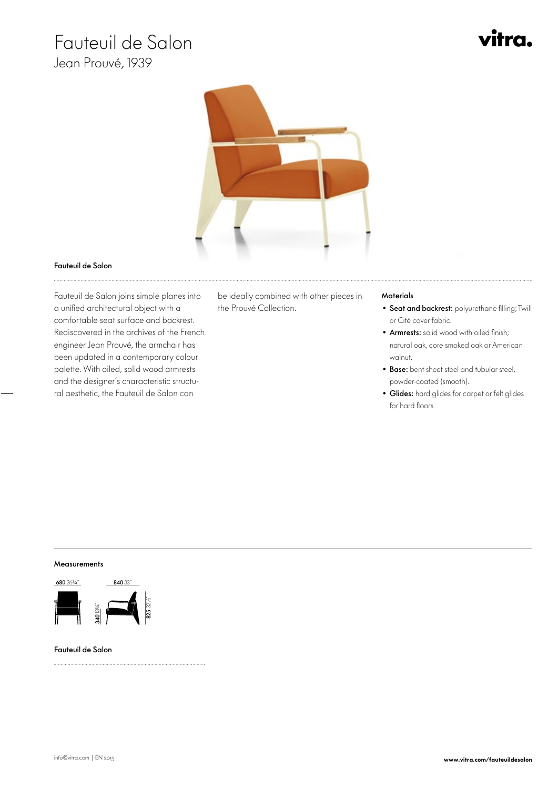# Fauteuil de Salon

Jean Prouvé, 1939





## Fauteuil de Salon

 Fauteuil de Salon joins simple planes into a unified architectural object with a comfortable seat surface and backrest. Rediscovered in the archives of the French engineer Jean Prouvé, the armchair has been updated in a contemporary colour palette. With oiled, solid wood armrests and the designer's characteristic structural aesthetic, the Fauteuil de Salon can

be ideally combined with other pieces in the Prouvé Collection.

# **Materials**

- Seat and backrest: polyurethane filling; Twill or Cité cover fabric.
- Armrests: solid wood with oiled finish; natural oak, core smoked oak or American walnut.
- Base: bent sheet steel and tubular steel, powder-coated (smooth).
- Glides: hard glides for carpet or felt glides for hard floors.

## **Measurements**



#### Fauteuil de Salon